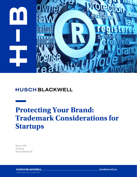

## **HUSCH BLACKWELL**

# **Protecting Your Brand: Trademark Considerations for Startups**

Myers Dill Attorney Husch Blackwell

**HUSCH BLACKWELL** © 2019 Husch Blackwell LLP. All rights reserved

**huschblackwell.com**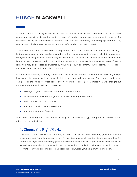### **HUSCH BLACKWELL**

Startups come in a variety of flavors, and not all of them want or need trademark or service mark protection, especially during the earliest stages of product or concept development. However, for businesses ready to commercialize products and services, protecting the emerging brand of key products-or the business itself-can be a vital safeguard as they go to market.

Trademarks and service marks cover a very elastic idea: source identification. While there are legal limitations concerning what can be covered, over the years many kinds of source identifiers have been recognized as being capable of operating as a trademark. The most familiar form of source identification is a word, logo or slogan used in the traditional manner as a trademark; however, other types of source identifiers may be accepted as trademarks, including product packaging, sounds, scents, colors, shapes, and even distinctive buildings or building parts.

In a dynamic economy featuring a constant stream of new business creation, even brilliantly unique ideas won't stay unique for long, especially if they are commercially successful. That's where trademarks can protect the value of great ideas and go-to-market strategies. Ultimately, a well-thought-out approach to trademarks will help companies:

- Distinguish goods or services from those of competitors
- Guarantee the quality of the goods or services bearing the trademark
- Build goodwill in your company
- Prevent confusion in the marketplace
- Prevent others from free-riding

When contemplating when and how to develop a trademark strategy, entrepreneurs should bear in mind a few key principles.

#### **1. Choose the Right Mark.**

The most common errors when choosing a mark for adoption are (a) selecting generic or obvious descriptors and (b) failing to clear marks for use. Startups should opt for distinctive, even fanciful, words and logos over something purely descriptive. Once chosen, a prospective mark should be vetted to ensure that it is free and clear to use without conflicting with existing marks so as to prevent receiving a dreadful cease and desist letter or, worse yet, being dragged into court.